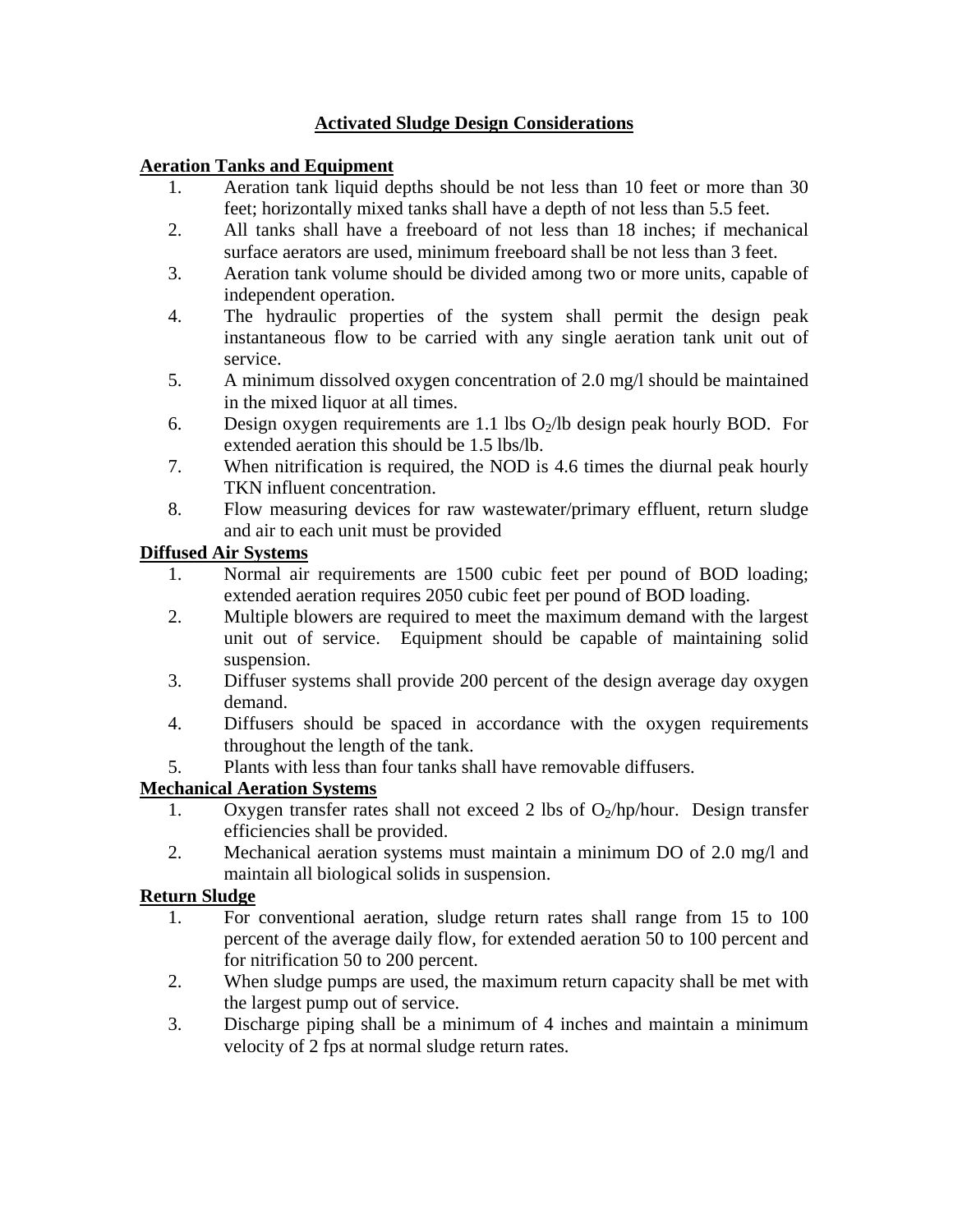## **Activated Sludge Design Considerations**

### **Aeration Tanks and Equipment**

- 1. Aeration tank liquid depths should be not less than 10 feet or more than 30 feet; horizontally mixed tanks shall have a depth of not less than 5.5 feet.
- 2. All tanks shall have a freeboard of not less than 18 inches; if mechanical surface aerators are used, minimum freeboard shall be not less than 3 feet.
- 3. Aeration tank volume should be divided among two or more units, capable of independent operation.
- 4. The hydraulic properties of the system shall permit the design peak instantaneous flow to be carried with any single aeration tank unit out of service.
- 5. A minimum dissolved oxygen concentration of 2.0 mg/l should be maintained in the mixed liquor at all times.
- 6. Design oxygen requirements are 1.1 lbs  $O_2/lb$  design peak hourly BOD. For extended aeration this should be 1.5 lbs/lb.
- 7. When nitrification is required, the NOD is 4.6 times the diurnal peak hourly TKN influent concentration.
- 8. Flow measuring devices for raw wastewater/primary effluent, return sludge and air to each unit must be provided

### **Diffused Air Systems**

- 1. Normal air requirements are 1500 cubic feet per pound of BOD loading; extended aeration requires 2050 cubic feet per pound of BOD loading.
- 2. Multiple blowers are required to meet the maximum demand with the largest unit out of service. Equipment should be capable of maintaining solid suspension.
- 3. Diffuser systems shall provide 200 percent of the design average day oxygen demand.
- 4. Diffusers should be spaced in accordance with the oxygen requirements throughout the length of the tank.
- 5. Plants with less than four tanks shall have removable diffusers.

# **Mechanical Aeration Systems**

- 1. Oxygen transfer rates shall not exceed 2 lbs of  $O_2/hp/h$ our. Design transfer efficiencies shall be provided.
- 2. Mechanical aeration systems must maintain a minimum DO of 2.0 mg/l and maintain all biological solids in suspension.

### **Return Sludge**

- 1. For conventional aeration, sludge return rates shall range from 15 to 100 percent of the average daily flow, for extended aeration 50 to 100 percent and for nitrification 50 to 200 percent.
- 2. When sludge pumps are used, the maximum return capacity shall be met with the largest pump out of service.
- 3. Discharge piping shall be a minimum of 4 inches and maintain a minimum velocity of 2 fps at normal sludge return rates.